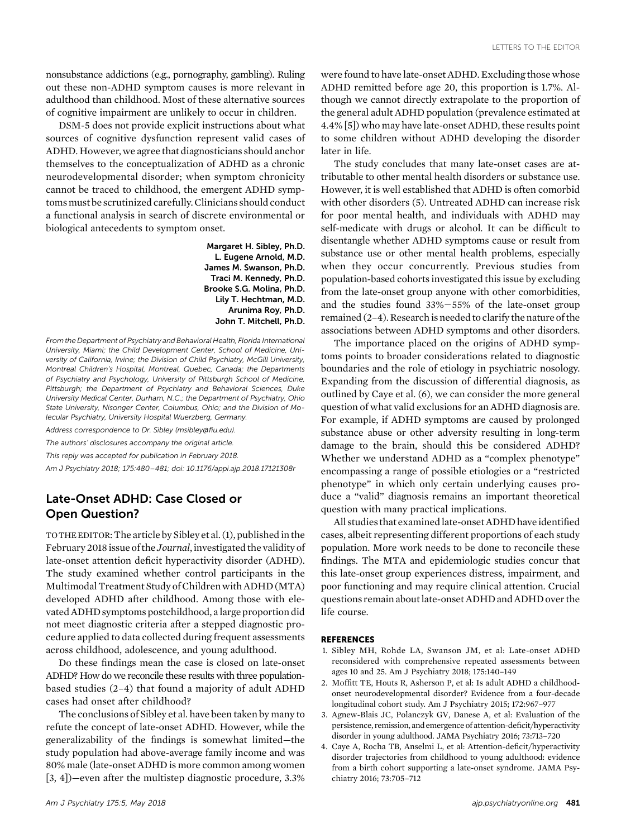nonsubstance addictions (e.g., pornography, gambling). Ruling out these non-ADHD symptom causes is more relevant in adulthood than childhood. Most of these alternative sources of cognitive impairment are unlikely to occur in children.

DSM-5 does not provide explicit instructions about what sources of cognitive dysfunction represent valid cases of ADHD. However, we agree that diagnosticians should anchor themselves to the conceptualization of ADHD as a chronic neurodevelopmental disorder; when symptom chronicity cannot be traced to childhood, the emergent ADHD symptoms must be scrutinized carefully. Clinicians should conduct a functional analysis in search of discrete environmental or biological antecedents to symptom onset.

> Margaret H. Sibley, Ph.D. L. Eugene Arnold, M.D. James M. Swanson, Ph.D. Traci M. Kennedy, Ph.D. Brooke S.G. Molina, Ph.D. Lily T. Hechtman, M.D. Arunima Roy, Ph.D. John T. Mitchell, Ph.D.

From the Department of Psychiatry and Behavioral Health, Florida International University, Miami; the Child Development Center, School of Medicine, University of California, Irvine; the Division of Child Psychiatry, McGill University, Montreal Children's Hospital, Montreal, Quebec, Canada; the Departments of Psychiatry and Psychology, University of Pittsburgh School of Medicine, Pittsburgh; the Department of Psychiatry and Behavioral Sciences, Duke University Medical Center, Durham, N.C.; the Department of Psychiatry, Ohio State University, Nisonger Center, Columbus, Ohio; and the Division of Molecular Psychiatry, University Hospital Wuerzberg, Germany.

Address correspondence to Dr. Sibley ([msibley@](mailto:msibley@fiu.edu)fiu.edu).

The authors' disclosures accompany the original article.

This reply was accepted for publication in February 2018.

Am J Psychiatry 2018; 175:480–481; doi: 10.1176/appi.ajp.2018.17121308r

## Late-Onset ADHD: Case Closed or Open Question?

TOTHEEDITOR: The article by Sibley et al. (1), published in the February 2018 issue of the Journal, investigated the validity of late-onset attention deficit hyperactivity disorder (ADHD). The study examined whether control participants in the Multimodal Treatment Study of Children with ADHD (MTA) developed ADHD after childhood. Among those with elevated ADHD symptoms postchildhood, a large proportion did not meet diagnostic criteria after a stepped diagnostic procedure applied to data collected during frequent assessments across childhood, adolescence, and young adulthood.

Do these findings mean the case is closed on late-onset ADHD? How do we reconcile these results with three populationbased studies (2–4) that found a majority of adult ADHD cases had onset after childhood?

The conclusions of Sibley et al. have been taken by many to refute the concept of late-onset ADHD. However, while the generalizability of the findings is somewhat limited—the study population had above-average family income and was 80% male (late-onset ADHD is more common among women [3, 4])—even after the multistep diagnostic procedure, 3.3%

were found to have late-onset ADHD. Excluding those whose ADHD remitted before age 20, this proportion is 1.7%. Although we cannot directly extrapolate to the proportion of the general adult ADHD population (prevalence estimated at 4.4% [5]) who may have late-onset ADHD, these results point to some children without ADHD developing the disorder later in life.

The study concludes that many late-onset cases are attributable to other mental health disorders or substance use. However, it is well established that ADHD is often comorbid with other disorders (5). Untreated ADHD can increase risk for poor mental health, and individuals with ADHD may self-medicate with drugs or alcohol. It can be difficult to disentangle whether ADHD symptoms cause or result from substance use or other mental health problems, especially when they occur concurrently. Previous studies from population-based cohorts investigated this issue by excluding from the late-onset group anyone with other comorbidities, and the studies found  $33\% - 55\%$  of the late-onset group remained (2–4). Research is needed to clarify the nature of the associations between ADHD symptoms and other disorders.

The importance placed on the origins of ADHD symptoms points to broader considerations related to diagnostic boundaries and the role of etiology in psychiatric nosology. Expanding from the discussion of differential diagnosis, as outlined by Caye et al. (6), we can consider the more general question of what valid exclusions for an ADHD diagnosis are. For example, if ADHD symptoms are caused by prolonged substance abuse or other adversity resulting in long-term damage to the brain, should this be considered ADHD? Whether we understand ADHD as a "complex phenotype" encompassing a range of possible etiologies or a "restricted phenotype" in which only certain underlying causes produce a "valid" diagnosis remains an important theoretical question with many practical implications.

All studies that examined late-onset ADHD have identified cases, albeit representing different proportions of each study population. More work needs to be done to reconcile these findings. The MTA and epidemiologic studies concur that this late-onset group experiences distress, impairment, and poor functioning and may require clinical attention. Crucial questions remain about late-onset ADHD and ADHD over the life course.

## **REFERENCES**

- 1. Sibley MH, Rohde LA, Swanson JM, et al: Late-onset ADHD reconsidered with comprehensive repeated assessments between ages 10 and 25. Am J Psychiatry 2018; 175:140–149
- 2. Moffitt TE, Houts R, Asherson P, et al: Is adult ADHD a childhoodonset neurodevelopmental disorder? Evidence from a four-decade longitudinal cohort study. Am J Psychiatry 2015; 172:967–977
- 3. Agnew-Blais JC, Polanczyk GV, Danese A, et al: Evaluation of the persistence, remission, and emergence of attention-deficit/hyperactivity disorder in young adulthood. JAMA Psychiatry 2016; 73:713–720
- 4. Caye A, Rocha TB, Anselmi L, et al: Attention-deficit/hyperactivity disorder trajectories from childhood to young adulthood: evidence from a birth cohort supporting a late-onset syndrome. JAMA Psychiatry 2016; 73:705–712